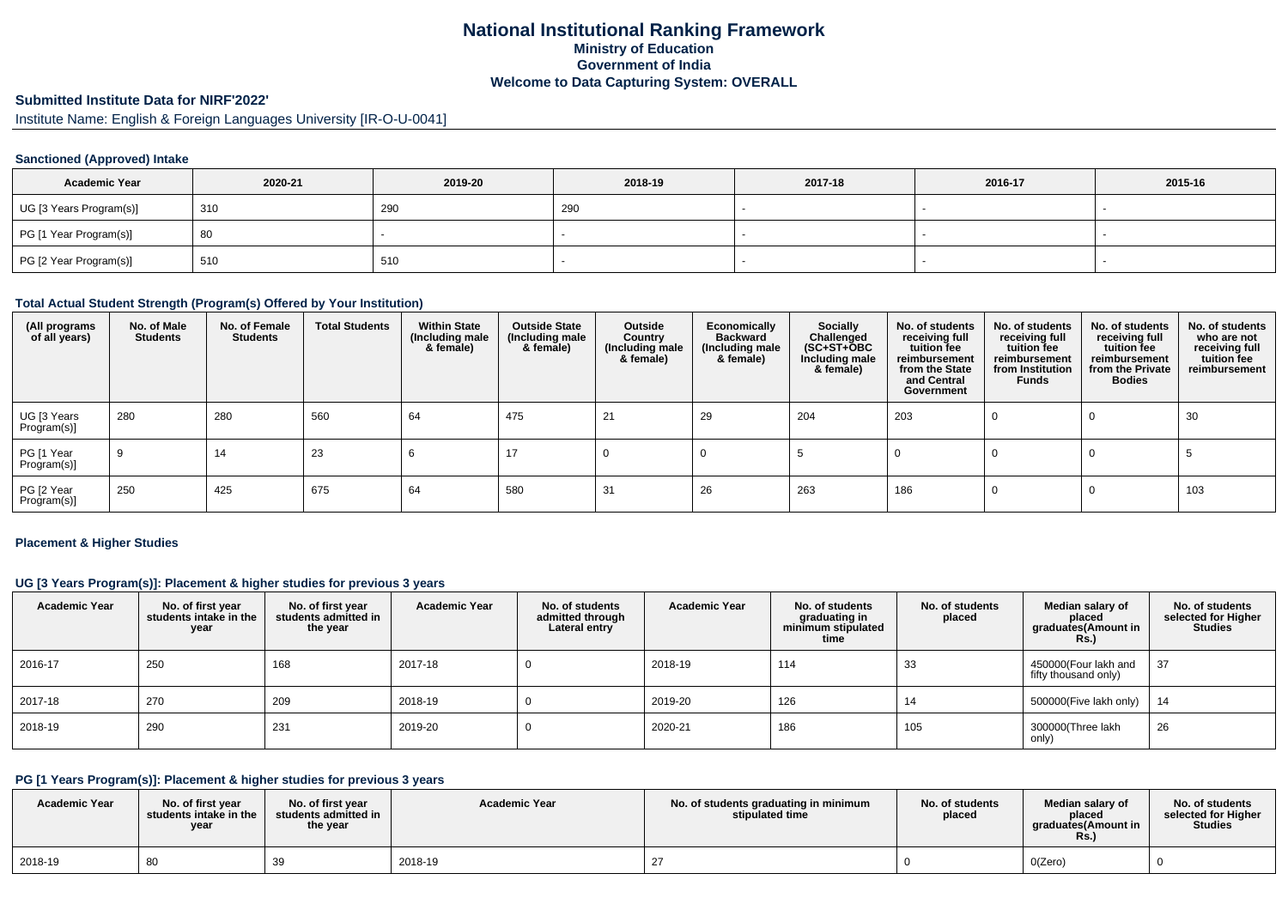# **National Institutional Ranking FrameworkMinistry of Education Government of IndiaWelcome to Data Capturing System: OVERALL**

# **Submitted Institute Data for NIRF'2022'**

Institute Name: English & Foreign Languages University [IR-O-U-0041]

## **Sanctioned (Approved) Intake**

| <b>Academic Year</b>    | 2020-21 | 2019-20 | 2018-19 | 2017-18 | 2016-17 | 2015-16 |
|-------------------------|---------|---------|---------|---------|---------|---------|
| UG [3 Years Program(s)] | 310     | 290     | 290     |         |         |         |
| PG [1 Year Program(s)]  | -80     |         |         |         |         |         |
| PG [2 Year Program(s)]  | 510     | 510     |         |         |         |         |

### **Total Actual Student Strength (Program(s) Offered by Your Institution)**

| (All programs<br>of all years) | No. of Male<br><b>Students</b> | No. of Female<br><b>Students</b> | <b>Total Students</b> | <b>Within State</b><br>(Including male<br>& female) | <b>Outside State</b><br>(Including male<br>& female) | Outside<br>Country<br>(Including male<br>& female) | Economically<br><b>Backward</b><br>(Including male<br>& female) | Socially<br>Challenged<br>$(SC+ST+\text{O}BC)$<br>Including male<br>& female) | No. of students<br>receiving full<br>tuition fee<br>reimbursement<br>from the State<br>and Central<br>Government | No. of students<br>receiving full<br>tuition fee<br>reimbursement<br>from Institution<br><b>Funds</b> | No. of students<br>receiving full<br>tuition fee<br>reimbursement<br>from the Private<br><b>Bodies</b> | No. of students<br>who are not<br>receiving full<br>tuition fee<br>reimbursement |
|--------------------------------|--------------------------------|----------------------------------|-----------------------|-----------------------------------------------------|------------------------------------------------------|----------------------------------------------------|-----------------------------------------------------------------|-------------------------------------------------------------------------------|------------------------------------------------------------------------------------------------------------------|-------------------------------------------------------------------------------------------------------|--------------------------------------------------------------------------------------------------------|----------------------------------------------------------------------------------|
| UG [3 Years<br>Program(s)]     | 280                            | 280                              | 560                   | 64                                                  | 475                                                  | 21                                                 | 29                                                              | 204                                                                           | 203                                                                                                              |                                                                                                       |                                                                                                        | 30                                                                               |
| PG [1 Year<br>Program(s)]      | 9                              | 14                               | 23                    | O                                                   | 17                                                   |                                                    |                                                                 |                                                                               |                                                                                                                  |                                                                                                       |                                                                                                        |                                                                                  |
| PG [2 Year<br>Program(s)]      | 250                            | 425                              | 675                   | 64                                                  | 580                                                  | 31                                                 | 26                                                              | 263                                                                           | 186                                                                                                              |                                                                                                       |                                                                                                        | 103                                                                              |

#### **Placement & Higher Studies**

## **UG [3 Years Program(s)]: Placement & higher studies for previous 3 years**

| <b>Academic Year</b> | No. of first year<br>students intake in the<br>year | No. of first year<br>students admitted in<br>the year | <b>Academic Year</b> | No. of students<br>admitted through<br>Lateral entry | <b>Academic Year</b> | No. of students<br>graduating in<br>minimum stipulated<br>time | No. of students<br>placed | Median salary of<br>placed<br>graduates(Amount in<br>Rs.) | No. of students<br>selected for Higher<br><b>Studies</b> |
|----------------------|-----------------------------------------------------|-------------------------------------------------------|----------------------|------------------------------------------------------|----------------------|----------------------------------------------------------------|---------------------------|-----------------------------------------------------------|----------------------------------------------------------|
| 2016-17              | 250                                                 | 168                                                   | 2017-18              |                                                      | 2018-19              | 114                                                            | 33                        | 450000(Four lakh and<br>fifty thousand only)              | 37                                                       |
| 2017-18              | 270                                                 | 209                                                   | 2018-19              |                                                      | 2019-20              | 126                                                            | 14                        | 500000(Five lakh only)                                    | 14                                                       |
| 2018-19              | 290                                                 | 231                                                   | 2019-20              |                                                      | 2020-21              | 186                                                            | 105                       | 300000(Three lakh<br>only)                                | 26                                                       |

### **PG [1 Years Program(s)]: Placement & higher studies for previous 3 years**

| <b>Academic Year</b> | No. of first vear<br>students intake in the<br>year | No. of first year<br>students admitted in<br>the year | <b>Academic Year</b> | No. of students graduating in minimum<br>stipulated time | No. of students<br>placed | Median salary of<br>placed<br>araduates(Amount in<br>KS. | No. of students<br>selected for Higher<br><b>Studies</b> |
|----------------------|-----------------------------------------------------|-------------------------------------------------------|----------------------|----------------------------------------------------------|---------------------------|----------------------------------------------------------|----------------------------------------------------------|
| 2018-19              |                                                     |                                                       | 2018-19              |                                                          |                           | O(Zero)                                                  |                                                          |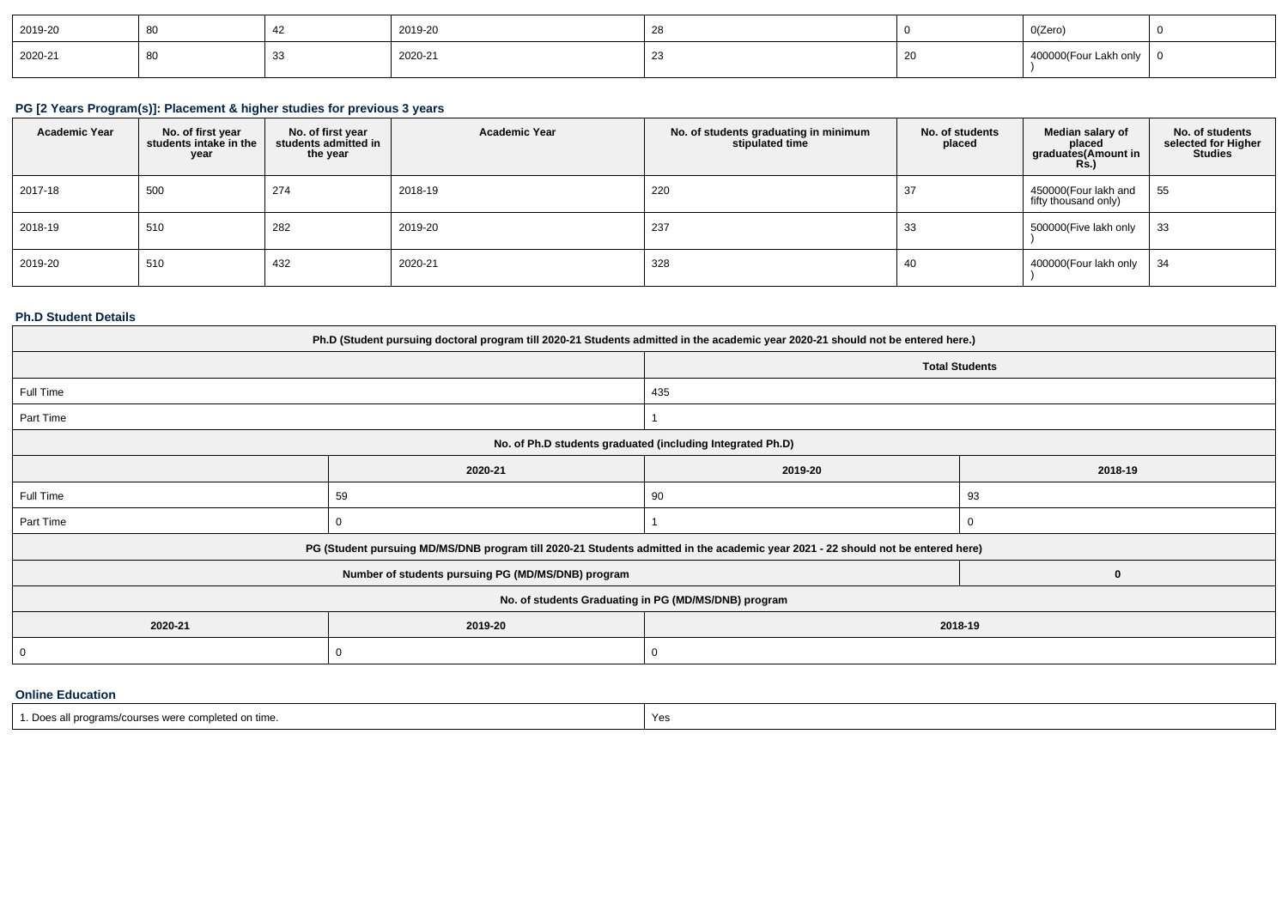| 2019-20 |  | 2019-20 |   |    | O(Zero)               |  |
|---------|--|---------|---|----|-----------------------|--|
| 2020-21 |  | 2020-21 | ້ | ZU | 400000(Four Lakh only |  |

# **PG [2 Years Program(s)]: Placement & higher studies for previous 3 years**

| <b>Academic Year</b> | No. of first year<br>students intake in the<br>year | No. of first year<br>students admitted in<br>the year | <b>Academic Year</b> | No. of students graduating in minimum<br>stipulated time | No. of students<br>placed | Median salary of<br>placed<br>graduates(Amount in<br><b>Rs.)</b> | No. of students<br>selected for Higher<br><b>Studies</b> |
|----------------------|-----------------------------------------------------|-------------------------------------------------------|----------------------|----------------------------------------------------------|---------------------------|------------------------------------------------------------------|----------------------------------------------------------|
| 2017-18              | 500                                                 | 274                                                   | 2018-19              | 220                                                      | -37                       | 450000(Four lakh and<br>fifty thousand only)                     | 55                                                       |
| 2018-19              | 510                                                 | 282                                                   | 2019-20              | 237                                                      | 33                        | 500000(Five lakh only                                            | 33                                                       |
| 2019-20              | 510                                                 | 432                                                   | 2020-21              | 328                                                      | 40                        | 400000(Four lakh only                                            | 34                                                       |

# **Ph.D Student Details**

| Ph.D (Student pursuing doctoral program till 2020-21 Students admitted in the academic year 2020-21 should not be entered here.) |                                                                                                                                  |                       |          |  |  |
|----------------------------------------------------------------------------------------------------------------------------------|----------------------------------------------------------------------------------------------------------------------------------|-----------------------|----------|--|--|
|                                                                                                                                  |                                                                                                                                  | <b>Total Students</b> |          |  |  |
| Full Time                                                                                                                        |                                                                                                                                  | 435                   |          |  |  |
| Part Time                                                                                                                        |                                                                                                                                  |                       |          |  |  |
|                                                                                                                                  | No. of Ph.D students graduated (including Integrated Ph.D)                                                                       |                       |          |  |  |
|                                                                                                                                  | 2020-21                                                                                                                          | 2019-20               | 2018-19  |  |  |
| Full Time                                                                                                                        | 59                                                                                                                               | 90                    | 93       |  |  |
| Part Time                                                                                                                        |                                                                                                                                  |                       | $\Omega$ |  |  |
|                                                                                                                                  | PG (Student pursuing MD/MS/DNB program till 2020-21 Students admitted in the academic year 2021 - 22 should not be entered here) |                       |          |  |  |
|                                                                                                                                  | Number of students pursuing PG (MD/MS/DNB) program                                                                               |                       | 0        |  |  |
|                                                                                                                                  | No. of students Graduating in PG (MD/MS/DNB) program                                                                             |                       |          |  |  |
| 2020-21<br>2019-20<br>2018-19                                                                                                    |                                                                                                                                  |                       |          |  |  |
| 0                                                                                                                                |                                                                                                                                  |                       |          |  |  |
|                                                                                                                                  |                                                                                                                                  |                       |          |  |  |

#### **Online Education**

| Do.<br>ms/courses were completed on time.<br>all programs | Yes |
|-----------------------------------------------------------|-----|
|-----------------------------------------------------------|-----|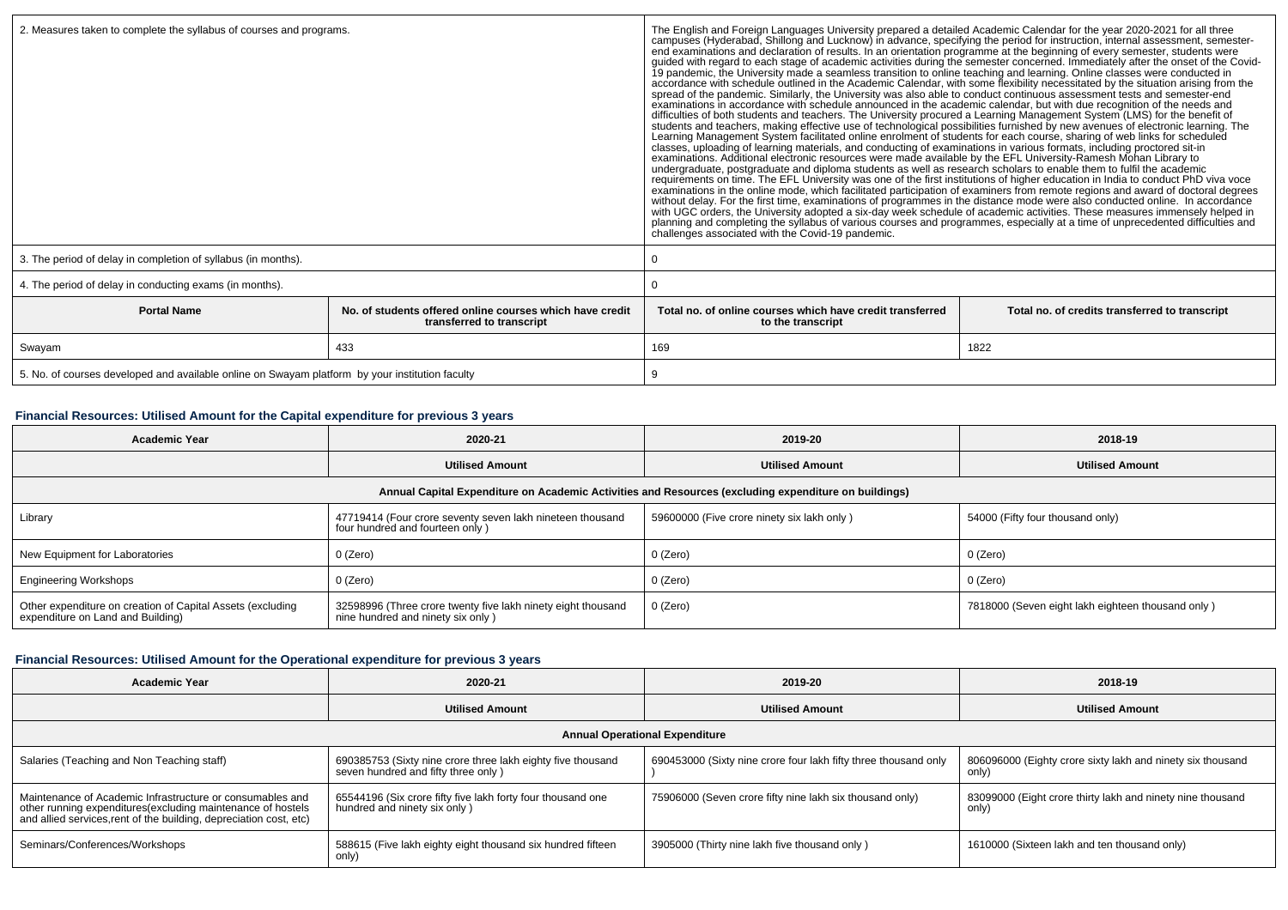|                                                                                                             |     | The English and Foreign Languages University prepared a detailed Academic Calendar for the year 2020-2021 for all three<br>campuses (Hyderabad, Shillong and Lucknow) in advance, specifying the period for instruction, internal<br>end examinations and declaration of results. In an orientation programme at the beginning of every semester, students were<br>guided with regard to each stage of academic activities during the semester concerned. Immediately after the onset of the Covid-<br>19 pandemic, the University made a seamless transition to online teaching and learning. Online classes were conducted in<br>accordance with schedule outlined in the Academic Calendar, with some flexibility necessitated by the situation arising from the spread of the pandemic. Similarly, the University was also able to conduct continuous assessm<br>difficulties of both students and teachers. The University procured a Learning Management System (LMS) for the benefit of<br>students and teachers, making effective use of technological possibilities furnished by new avenues of electronic learning. The<br>Learning Management System facilitated online enrolment of students for each course, sharing of web links for scheduled<br>classes, uploading of learning materials, and conducting of examinations in various formats, including proctored sit-in<br>examinations. Additional electronic resources were made available by the EFL University-Ramesh Mohan Library to<br>undergraduate, postgraduate and diploma students as well as research scholars to enable them to fulfil the aca<br>requirements on time. The EFL University was one of the first institutions of higher education in India to conduct PhD viva voce<br>examinations in the online mode, which facilitated participation of examiners from remote regions and award of doctoral degrees<br>without delay. For the first time, examinations of programmes in the distance mode were also conducted online. In accordance<br>with UGC orders, the University adopted a six-day week schedule of academic activities. These measures immensely helped in<br>planning and completing the syllabus of various courses and programmes, especially at a time of unprecedented difficulties and<br>challenges associated with the Covid-19 pandemic. |                                                |  |
|-------------------------------------------------------------------------------------------------------------|-----|----------------------------------------------------------------------------------------------------------------------------------------------------------------------------------------------------------------------------------------------------------------------------------------------------------------------------------------------------------------------------------------------------------------------------------------------------------------------------------------------------------------------------------------------------------------------------------------------------------------------------------------------------------------------------------------------------------------------------------------------------------------------------------------------------------------------------------------------------------------------------------------------------------------------------------------------------------------------------------------------------------------------------------------------------------------------------------------------------------------------------------------------------------------------------------------------------------------------------------------------------------------------------------------------------------------------------------------------------------------------------------------------------------------------------------------------------------------------------------------------------------------------------------------------------------------------------------------------------------------------------------------------------------------------------------------------------------------------------------------------------------------------------------------------------------------------------------------------------------------------------------------------------------------------------------------------------------------------------------------------------------------------------------------------------------------------------------------------------------------------------------------------------------------------------------------------------------------------------------------------------------------------------------------------------------------------------------------------------------|------------------------------------------------|--|
| 3. The period of delay in completion of syllabus (in months).                                               |     | 0                                                                                                                                                                                                                                                                                                                                                                                                                                                                                                                                                                                                                                                                                                                                                                                                                                                                                                                                                                                                                                                                                                                                                                                                                                                                                                                                                                                                                                                                                                                                                                                                                                                                                                                                                                                                                                                                                                                                                                                                                                                                                                                                                                                                                                                                                                                                                        |                                                |  |
| 4. The period of delay in conducting exams (in months).                                                     |     |                                                                                                                                                                                                                                                                                                                                                                                                                                                                                                                                                                                                                                                                                                                                                                                                                                                                                                                                                                                                                                                                                                                                                                                                                                                                                                                                                                                                                                                                                                                                                                                                                                                                                                                                                                                                                                                                                                                                                                                                                                                                                                                                                                                                                                                                                                                                                          |                                                |  |
| <b>Portal Name</b><br>No. of students offered online courses which have credit<br>transferred to transcript |     | Total no, of online courses which have credit transferred<br>to the transcript                                                                                                                                                                                                                                                                                                                                                                                                                                                                                                                                                                                                                                                                                                                                                                                                                                                                                                                                                                                                                                                                                                                                                                                                                                                                                                                                                                                                                                                                                                                                                                                                                                                                                                                                                                                                                                                                                                                                                                                                                                                                                                                                                                                                                                                                           | Total no. of credits transferred to transcript |  |
| Swayam                                                                                                      | 433 | 169<br>1822                                                                                                                                                                                                                                                                                                                                                                                                                                                                                                                                                                                                                                                                                                                                                                                                                                                                                                                                                                                                                                                                                                                                                                                                                                                                                                                                                                                                                                                                                                                                                                                                                                                                                                                                                                                                                                                                                                                                                                                                                                                                                                                                                                                                                                                                                                                                              |                                                |  |
| 5. No. of courses developed and available online on Swayam platform by your institution faculty             |     | 9                                                                                                                                                                                                                                                                                                                                                                                                                                                                                                                                                                                                                                                                                                                                                                                                                                                                                                                                                                                                                                                                                                                                                                                                                                                                                                                                                                                                                                                                                                                                                                                                                                                                                                                                                                                                                                                                                                                                                                                                                                                                                                                                                                                                                                                                                                                                                        |                                                |  |

# **Financial Resources: Utilised Amount for the Capital expenditure for previous 3 years**

| Academic Year                                                                                        | 2020-21                                                                                           | 2019-20                                    | 2018-19                                           |  |  |  |
|------------------------------------------------------------------------------------------------------|---------------------------------------------------------------------------------------------------|--------------------------------------------|---------------------------------------------------|--|--|--|
|                                                                                                      | <b>Utilised Amount</b>                                                                            | <b>Utilised Amount</b>                     | <b>Utilised Amount</b>                            |  |  |  |
| Annual Capital Expenditure on Academic Activities and Resources (excluding expenditure on buildings) |                                                                                                   |                                            |                                                   |  |  |  |
| Library                                                                                              | 47719414 (Four crore seventy seven lakh nineteen thousand<br>four hundred and fourteen only)      | 59600000 (Five crore ninety six lakh only) | 54000 (Fifty four thousand only)                  |  |  |  |
| New Equipment for Laboratories                                                                       | 0 (Zero)                                                                                          | 0 (Zero)                                   | 0 (Zero)                                          |  |  |  |
| <b>Engineering Workshops</b>                                                                         | 0 (Zero)                                                                                          | 0 (Zero)                                   | 0 (Zero)                                          |  |  |  |
| Other expenditure on creation of Capital Assets (excluding<br>expenditure on Land and Building)      | 32598996 (Three crore twenty five lakh ninety eight thousand<br>nine hundred and ninety six only) | 0 (Zero)                                   | 7818000 (Seven eight lakh eighteen thousand only) |  |  |  |

# **Financial Resources: Utilised Amount for the Operational expenditure for previous 3 years**

| Academic Year                                                                                                                                                                                  | 2020-21                                                                                            | 2019-20                                                         | 2018-19                                                             |  |  |  |
|------------------------------------------------------------------------------------------------------------------------------------------------------------------------------------------------|----------------------------------------------------------------------------------------------------|-----------------------------------------------------------------|---------------------------------------------------------------------|--|--|--|
|                                                                                                                                                                                                | <b>Utilised Amount</b>                                                                             | <b>Utilised Amount</b>                                          | <b>Utilised Amount</b>                                              |  |  |  |
| <b>Annual Operational Expenditure</b>                                                                                                                                                          |                                                                                                    |                                                                 |                                                                     |  |  |  |
| Salaries (Teaching and Non Teaching staff)                                                                                                                                                     | 690385753 (Sixty nine crore three lakh eighty five thousand<br>seven hundred and fifty three only) | 690453000 (Sixty nine crore four lakh fifty three thousand only | 806096000 (Eighty crore sixty lakh and ninety six thousand<br>only) |  |  |  |
| Maintenance of Academic Infrastructure or consumables and<br>other running expenditures(excluding maintenance of hostels<br>and allied services, rent of the building, depreciation cost, etc) | 65544196 (Six crore fifty five lakh forty four thousand one<br>hundred and ninety six only)        | 75906000 (Seven crore fifty nine lakh six thousand only)        | 83099000 (Eight crore thirty lakh and ninety nine thousand<br>only) |  |  |  |
| Seminars/Conferences/Workshops                                                                                                                                                                 | 588615 (Five lakh eighty eight thousand six hundred fifteen<br>only)                               | 3905000 (Thirty nine lakh five thousand only)                   | 1610000 (Sixteen lakh and ten thousand only)                        |  |  |  |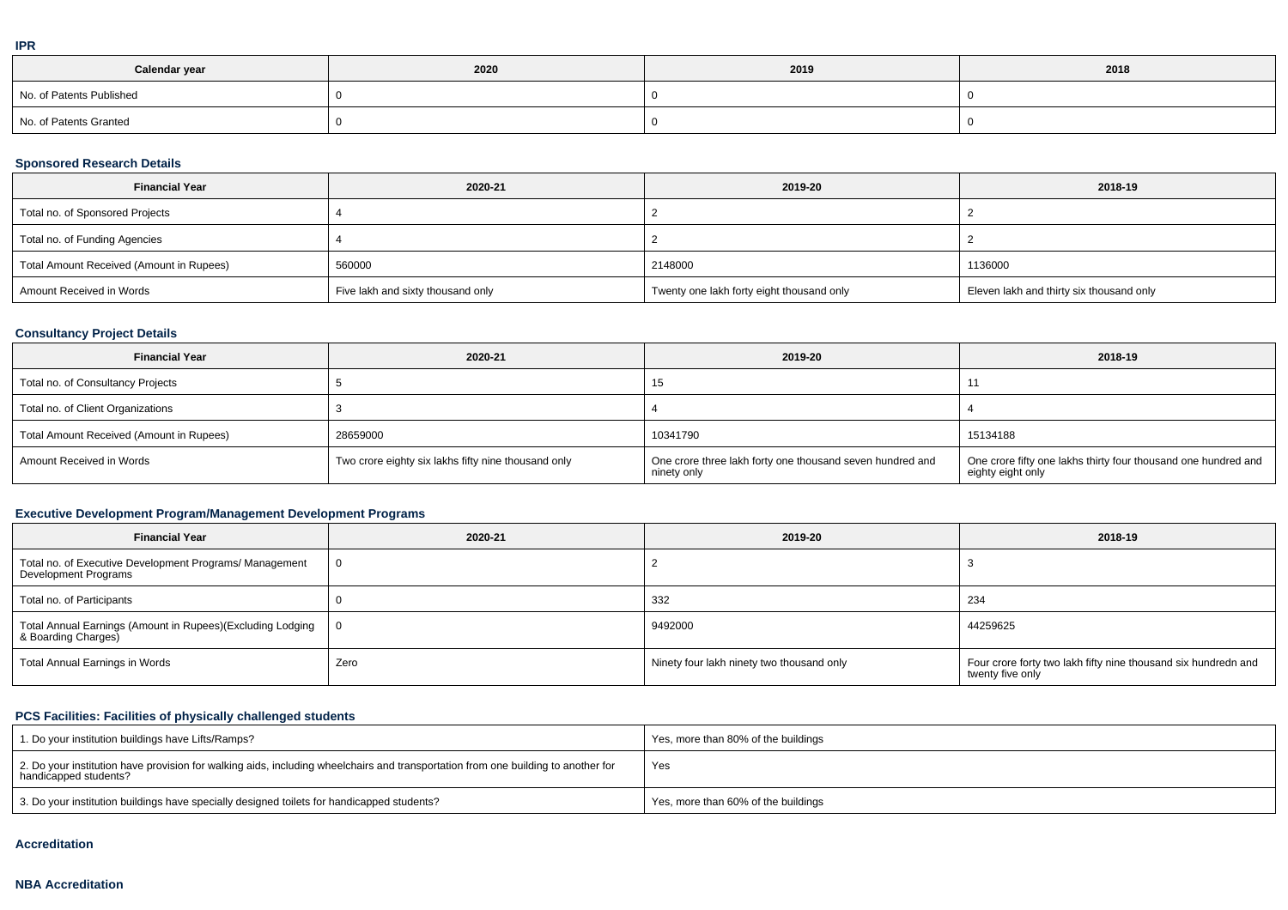|  | ۰ |
|--|---|
|  |   |
|  |   |
|  |   |

| Calendar year            | 2020 | 2019 | 2018 |
|--------------------------|------|------|------|
| No. of Patents Published |      |      |      |
| No. of Patents Granted   |      |      |      |

# **Sponsored Research Details**

| <b>Financial Year</b>                    | 2020-21                           | 2019-20                                   | 2018-19                                  |
|------------------------------------------|-----------------------------------|-------------------------------------------|------------------------------------------|
| Total no. of Sponsored Projects          |                                   |                                           |                                          |
| Total no. of Funding Agencies            |                                   |                                           |                                          |
| Total Amount Received (Amount in Rupees) | 560000                            | 2148000                                   | 1136000                                  |
| Amount Received in Words                 | Five lakh and sixty thousand only | Twenty one lakh forty eight thousand only | Eleven lakh and thirty six thousand only |

# **Consultancy Project Details**

| <b>Financial Year</b>                    | 2020-21                                             | 2019-20                                                                  | 2018-19                                                                             |
|------------------------------------------|-----------------------------------------------------|--------------------------------------------------------------------------|-------------------------------------------------------------------------------------|
| Total no. of Consultancy Projects        |                                                     | 15                                                                       |                                                                                     |
| Total no. of Client Organizations        |                                                     |                                                                          |                                                                                     |
| Total Amount Received (Amount in Rupees) | 28659000                                            | 10341790                                                                 | 15134188                                                                            |
| Amount Received in Words                 | Two crore eighty six lakhs fifty nine thousand only | One crore three lakh forty one thousand seven hundred and<br>ninety only | One crore fifty one lakhs thirty four thousand one hundred and<br>eighty eight only |

# **Executive Development Program/Management Development Programs**

| <b>Financial Year</b>                                                             | 2020-21 | 2019-20                                   | 2018-19                                                                            |
|-----------------------------------------------------------------------------------|---------|-------------------------------------------|------------------------------------------------------------------------------------|
| Total no. of Executive Development Programs/ Management<br>Development Programs   |         |                                           |                                                                                    |
| Total no. of Participants                                                         |         | 332                                       | 234                                                                                |
| Total Annual Earnings (Amount in Rupees)(Excluding Lodging<br>& Boarding Charges) |         | 9492000                                   | 44259625                                                                           |
| Total Annual Earnings in Words                                                    | Zero    | Ninety four lakh ninety two thousand only | Four crore forty two lakh fifty nine thousand six hundredn and<br>twenty five only |

# **PCS Facilities: Facilities of physically challenged students**

| 1. Do your institution buildings have Lifts/Ramps?                                                                                                         | Yes, more than 80% of the buildings |
|------------------------------------------------------------------------------------------------------------------------------------------------------------|-------------------------------------|
| 2. Do your institution have provision for walking aids, including wheelchairs and transportation from one building to another for<br>handicapped students? | Yes                                 |
| 3. Do your institution buildings have specially designed toilets for handicapped students?                                                                 | Yes, more than 60% of the buildings |

#### **Accreditation**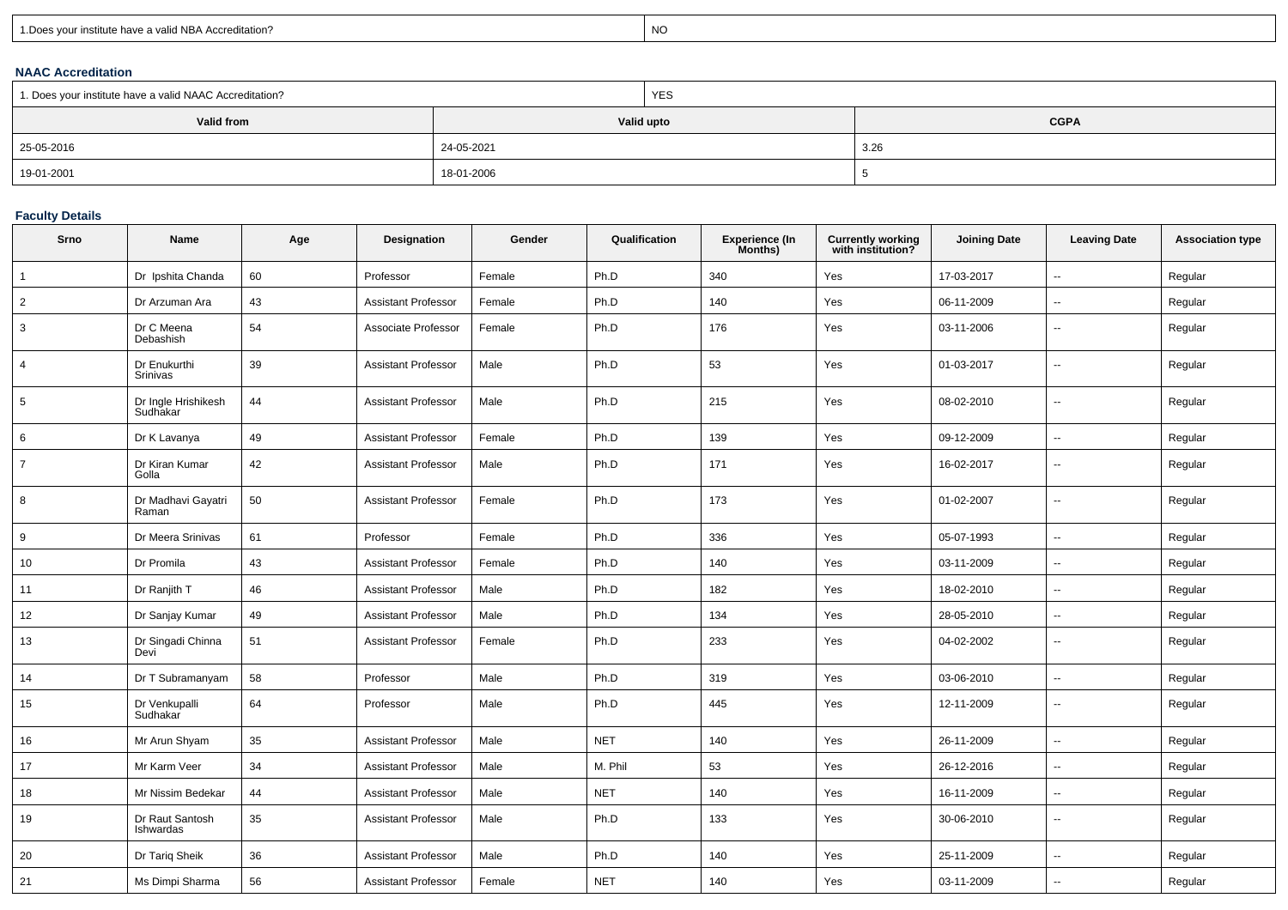| 1. Does your institute have a valid NBA Accreditation? |  |
|--------------------------------------------------------|--|
|                                                        |  |

expression of the contract of the contract of the contract of the contract of the contract of the contract of the contract of the contract of the contract of the contract of the contract of the contract of the contract of

## **NAAC Accreditation**

| 1. Does your institute have a valid NAAC Accreditation? |            | <b>YES</b> |             |
|---------------------------------------------------------|------------|------------|-------------|
| Valid from                                              |            | Valid upto | <b>CGPA</b> |
| 25-05-2016                                              | 24-05-2021 |            | 3.26        |
| 19-01-2001                                              | 18-01-2006 |            |             |

## **Faculty Details**

| Srno           | Name                            | Age | Designation                | Gender | Qualification | <b>Experience (In</b><br>Months) | Currently working<br>with institution? | <b>Joining Date</b> | <b>Leaving Date</b>      | <b>Association type</b> |
|----------------|---------------------------------|-----|----------------------------|--------|---------------|----------------------------------|----------------------------------------|---------------------|--------------------------|-------------------------|
| $\mathbf{1}$   | Dr Ipshita Chanda               | 60  | Professor                  | Female | Ph.D          | 340                              | Yes                                    | 17-03-2017          | $\overline{\phantom{a}}$ | Regular                 |
| 2              | Dr Arzuman Ara                  | 43  | <b>Assistant Professor</b> | Female | Ph.D          | 140                              | Yes                                    | 06-11-2009          | $\overline{a}$           | Regular                 |
| 3              | Dr C Meena<br>Debashish         | 54  | Associate Professor        | Female | Ph.D          | 176                              | Yes                                    | 03-11-2006          | $\mathbf{u}$             | Regular                 |
| $\overline{4}$ | Dr Enukurthi<br>Srinivas        | 39  | <b>Assistant Professor</b> | Male   | Ph.D          | 53                               | Yes                                    | 01-03-2017          | $\overline{\phantom{a}}$ | Regular                 |
| 5              | Dr Ingle Hrishikesh<br>Sudhakar | 44  | <b>Assistant Professor</b> | Male   | Ph.D          | 215                              | Yes                                    | 08-02-2010          | $\overline{a}$           | Regular                 |
| 6              | Dr K Lavanya                    | 49  | <b>Assistant Professor</b> | Female | Ph.D          | 139                              | Yes                                    | 09-12-2009          | $\overline{a}$           | Regular                 |
| $\overline{7}$ | Dr Kiran Kumar<br>Golla         | 42  | <b>Assistant Professor</b> | Male   | Ph.D          | 171                              | Yes                                    | 16-02-2017          | ۰.                       | Regular                 |
| 8              | Dr Madhavi Gayatri<br>Raman     | 50  | <b>Assistant Professor</b> | Female | Ph.D          | 173                              | Yes                                    | 01-02-2007          | $\overline{a}$           | Regular                 |
| 9              | Dr Meera Srinivas               | 61  | Professor                  | Female | Ph.D          | 336                              | Yes                                    | 05-07-1993          | $\mathbf{u}$             | Regular                 |
| 10             | Dr Promila                      | 43  | <b>Assistant Professor</b> | Female | Ph.D          | 140                              | Yes                                    | 03-11-2009          | $\overline{\phantom{a}}$ | Regular                 |
| 11             | Dr Ranjith T                    | 46  | <b>Assistant Professor</b> | Male   | Ph.D          | 182                              | Yes                                    | 18-02-2010          | $\sim$                   | Regular                 |
| 12             | Dr Sanjay Kumar                 | 49  | <b>Assistant Professor</b> | Male   | Ph.D          | 134                              | Yes                                    | 28-05-2010          | $\overline{\phantom{a}}$ | Regular                 |
| 13             | Dr Singadi Chinna<br>Devi       | 51  | <b>Assistant Professor</b> | Female | Ph.D          | 233                              | Yes                                    | 04-02-2002          | $\sim$                   | Regular                 |
| 14             | Dr T Subramanyam                | 58  | Professor                  | Male   | Ph.D          | 319                              | Yes                                    | 03-06-2010          | $\overline{\phantom{a}}$ | Regular                 |
| 15             | Dr Venkupalli<br>Sudhakar       | 64  | Professor                  | Male   | Ph.D          | 445                              | Yes                                    | 12-11-2009          | $\overline{a}$           | Regular                 |
| 16             | Mr Arun Shyam                   | 35  | <b>Assistant Professor</b> | Male   | <b>NET</b>    | 140                              | Yes                                    | 26-11-2009          | $\sim$                   | Regular                 |
| 17             | Mr Karm Veer                    | 34  | <b>Assistant Professor</b> | Male   | M. Phil       | 53                               | Yes                                    | 26-12-2016          | $\sim$                   | Regular                 |
| 18             | Mr Nissim Bedekar               | 44  | <b>Assistant Professor</b> | Male   | <b>NET</b>    | 140                              | Yes                                    | 16-11-2009          | ۰.                       | Regular                 |
| 19             | Dr Raut Santosh<br>Ishwardas    | 35  | <b>Assistant Professor</b> | Male   | Ph.D          | 133                              | Yes                                    | 30-06-2010          | $\overline{\phantom{a}}$ | Regular                 |
| 20             | Dr Tariq Sheik                  | 36  | <b>Assistant Professor</b> | Male   | Ph.D          | 140                              | Yes                                    | 25-11-2009          | $\sim$                   | Regular                 |
| 21             | Ms Dimpi Sharma                 | 56  | <b>Assistant Professor</b> | Female | <b>NET</b>    | 140                              | Yes                                    | 03-11-2009          | $\overline{\phantom{a}}$ | Regular                 |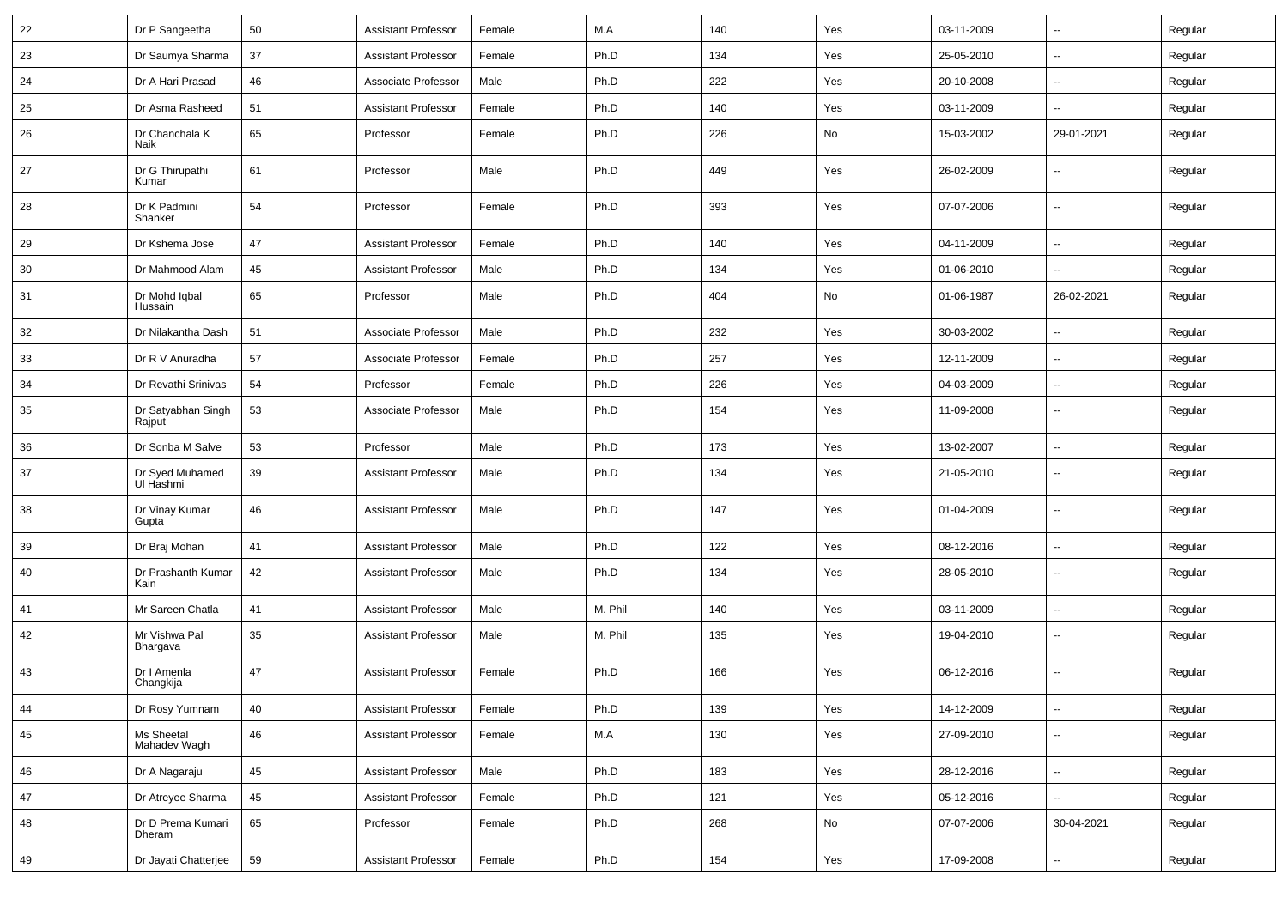| 22 | Dr P Sangeetha               | 50 | <b>Assistant Professor</b> | Female | M.A     | 140 | Yes | 03-11-2009 | ⊷.                       | Regular |
|----|------------------------------|----|----------------------------|--------|---------|-----|-----|------------|--------------------------|---------|
| 23 | Dr Saumya Sharma             | 37 | <b>Assistant Professor</b> | Female | Ph.D    | 134 | Yes | 25-05-2010 | -−                       | Regular |
| 24 | Dr A Hari Prasad             | 46 | Associate Professor        | Male   | Ph.D    | 222 | Yes | 20-10-2008 | -−                       | Regular |
| 25 | Dr Asma Rasheed              | 51 | <b>Assistant Professor</b> | Female | Ph.D    | 140 | Yes | 03-11-2009 | --                       | Regular |
| 26 | Dr Chanchala K<br>Naik       | 65 | Professor                  | Female | Ph.D    | 226 | No  | 15-03-2002 | 29-01-2021               | Regular |
| 27 | Dr G Thirupathi<br>Kumar     | 61 | Professor                  | Male   | Ph.D    | 449 | Yes | 26-02-2009 | --                       | Regular |
| 28 | Dr K Padmini<br>Shanker      | 54 | Professor                  | Female | Ph.D    | 393 | Yes | 07-07-2006 | --                       | Regular |
| 29 | Dr Kshema Jose               | 47 | <b>Assistant Professor</b> | Female | Ph.D    | 140 | Yes | 04-11-2009 | -−                       | Regular |
| 30 | Dr Mahmood Alam              | 45 | <b>Assistant Professor</b> | Male   | Ph.D    | 134 | Yes | 01-06-2010 | $\overline{\phantom{a}}$ | Regular |
| 31 | Dr Mohd Iqbal<br>Hussain     | 65 | Professor                  | Male   | Ph.D    | 404 | No  | 01-06-1987 | 26-02-2021               | Regular |
| 32 | Dr Nilakantha Dash           | 51 | Associate Professor        | Male   | Ph.D    | 232 | Yes | 30-03-2002 | $\sim$                   | Regular |
| 33 | Dr R V Anuradha              | 57 | Associate Professor        | Female | Ph.D    | 257 | Yes | 12-11-2009 | -−                       | Regular |
| 34 | Dr Revathi Srinivas          | 54 | Professor                  | Female | Ph.D    | 226 | Yes | 04-03-2009 | $\overline{\phantom{a}}$ | Regular |
| 35 | Dr Satyabhan Singh<br>Rajput | 53 | Associate Professor        | Male   | Ph.D    | 154 | Yes | 11-09-2008 | --                       | Regular |
| 36 | Dr Sonba M Salve             | 53 | Professor                  | Male   | Ph.D    | 173 | Yes | 13-02-2007 | $\overline{\phantom{a}}$ | Regular |
| 37 | Dr Syed Muhamed<br>UI Hashmi | 39 | <b>Assistant Professor</b> | Male   | Ph.D    | 134 | Yes | 21-05-2010 | --                       | Regular |
| 38 | Dr Vinay Kumar<br>Gupta      | 46 | <b>Assistant Professor</b> | Male   | Ph.D    | 147 | Yes | 01-04-2009 | --                       | Regular |
| 39 | Dr Braj Mohan                | 41 | <b>Assistant Professor</b> | Male   | Ph.D    | 122 | Yes | 08-12-2016 | --                       | Regular |
| 40 | Dr Prashanth Kumar<br>Kain   | 42 | <b>Assistant Professor</b> | Male   | Ph.D    | 134 | Yes | 28-05-2010 | $\overline{\phantom{a}}$ | Regular |
| 41 | Mr Sareen Chatla             | 41 | <b>Assistant Professor</b> | Male   | M. Phil | 140 | Yes | 03-11-2009 | Ξ.                       | Regular |
| 42 | Mr Vishwa Pal<br>Bhargava    | 35 | <b>Assistant Professor</b> | Male   | M. Phil | 135 | Yes | 19-04-2010 | $\overline{\phantom{a}}$ | Regular |
| 43 | Dr I Amenla<br>Changkija     | 47 | <b>Assistant Professor</b> | Female | Ph.D    | 166 | Yes | 06-12-2016 | $\overline{\phantom{a}}$ | Regular |
| 44 | Dr Rosy Yumnam               | 40 | Assistant Professor        | Female | Ph.D    | 139 | Yes | 14-12-2009 | $\sim$                   | Regular |
| 45 | Ms Sheetal<br>Mahadev Wagh   | 46 | <b>Assistant Professor</b> | Female | M.A     | 130 | Yes | 27-09-2010 | $\overline{\phantom{a}}$ | Regular |
| 46 | Dr A Nagaraju                | 45 | <b>Assistant Professor</b> | Male   | Ph.D    | 183 | Yes | 28-12-2016 | Щ,                       | Regular |
| 47 | Dr Atreyee Sharma            | 45 | <b>Assistant Professor</b> | Female | Ph.D    | 121 | Yes | 05-12-2016 | Щ,                       | Regular |
| 48 | Dr D Prema Kumari<br>Dheram  | 65 | Professor                  | Female | Ph.D    | 268 | No  | 07-07-2006 | 30-04-2021               | Regular |
| 49 | Dr Jayati Chatterjee         | 59 | <b>Assistant Professor</b> | Female | Ph.D    | 154 | Yes | 17-09-2008 | щ.                       | Regular |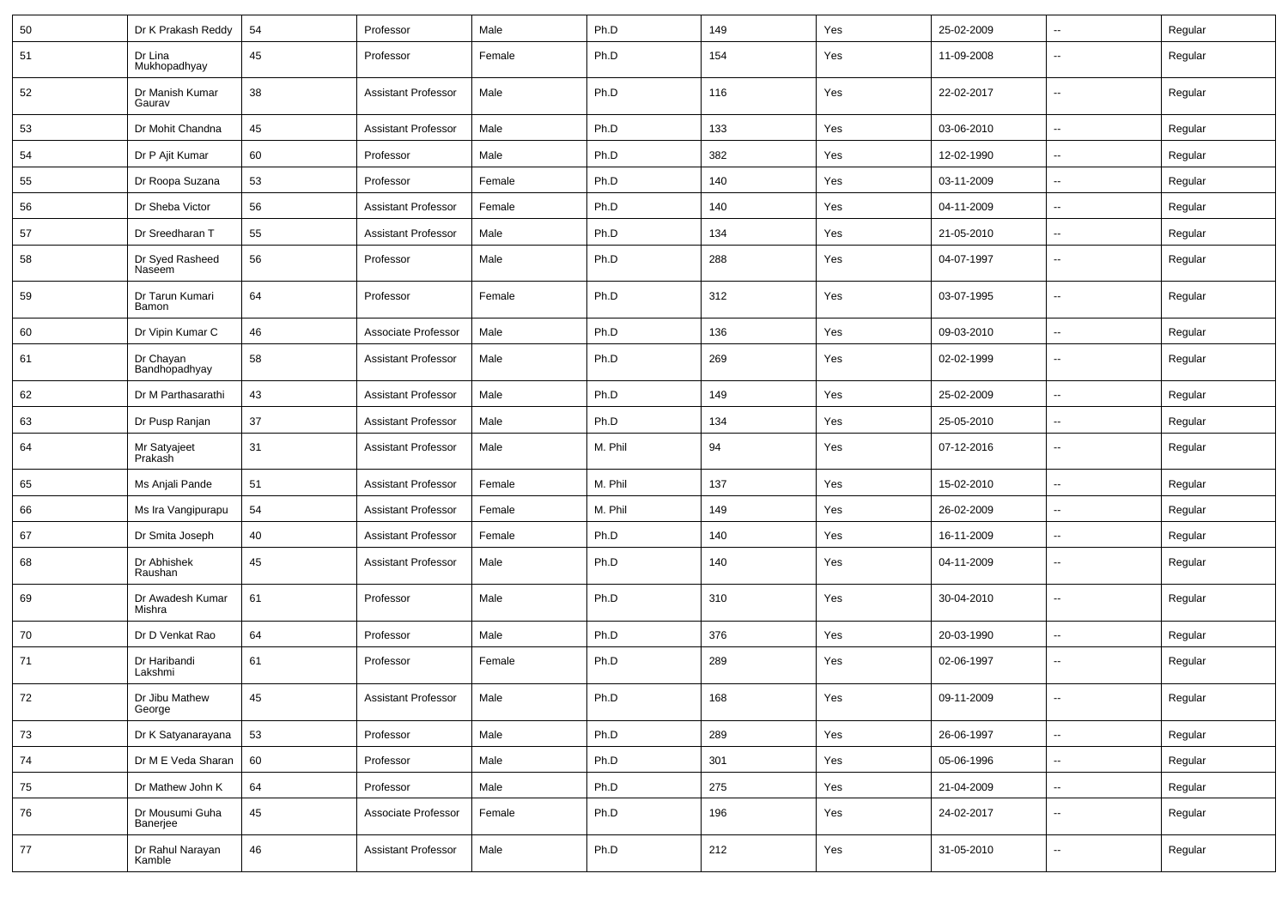| 50 | Dr K Prakash Reddy          | 54 | Professor                  | Male   | Ph.D    | 149 | Yes | 25-02-2009 | $\overline{\phantom{a}}$ | Regular |
|----|-----------------------------|----|----------------------------|--------|---------|-----|-----|------------|--------------------------|---------|
| 51 | Dr Lina<br>Mukhopadhyay     | 45 | Professor                  | Female | Ph.D    | 154 | Yes | 11-09-2008 | Ξ.                       | Regular |
| 52 | Dr Manish Kumar<br>Gaurav   | 38 | <b>Assistant Professor</b> | Male   | Ph.D    | 116 | Yes | 22-02-2017 | --                       | Regular |
| 53 | Dr Mohit Chandna            | 45 | <b>Assistant Professor</b> | Male   | Ph.D    | 133 | Yes | 03-06-2010 | Ξ.                       | Regular |
| 54 | Dr P Ajit Kumar             | 60 | Professor                  | Male   | Ph.D    | 382 | Yes | 12-02-1990 | $\overline{\phantom{a}}$ | Regular |
| 55 | Dr Roopa Suzana             | 53 | Professor                  | Female | Ph.D    | 140 | Yes | 03-11-2009 | --                       | Regular |
| 56 | Dr Sheba Victor             | 56 | <b>Assistant Professor</b> | Female | Ph.D    | 140 | Yes | 04-11-2009 | Ξ.                       | Regular |
| 57 | Dr Sreedharan T             | 55 | <b>Assistant Professor</b> | Male   | Ph.D    | 134 | Yes | 21-05-2010 | $\sim$                   | Regular |
| 58 | Dr Syed Rasheed<br>Naseem   | 56 | Professor                  | Male   | Ph.D    | 288 | Yes | 04-07-1997 | $\overline{\phantom{a}}$ | Regular |
| 59 | Dr Tarun Kumari<br>Bamon    | 64 | Professor                  | Female | Ph.D    | 312 | Yes | 03-07-1995 | Ξ.                       | Regular |
| 60 | Dr Vipin Kumar C            | 46 | Associate Professor        | Male   | Ph.D    | 136 | Yes | 09-03-2010 | $\overline{\phantom{a}}$ | Regular |
| 61 | Dr Chayan<br>Bandhopadhyay  | 58 | <b>Assistant Professor</b> | Male   | Ph.D    | 269 | Yes | 02-02-1999 | --                       | Regular |
| 62 | Dr M Parthasarathi          | 43 | <b>Assistant Professor</b> | Male   | Ph.D    | 149 | Yes | 25-02-2009 | Ξ.                       | Regular |
| 63 | Dr Pusp Ranjan              | 37 | <b>Assistant Professor</b> | Male   | Ph.D    | 134 | Yes | 25-05-2010 | Ξ.                       | Regular |
| 64 | Mr Satyajeet<br>Prakash     | 31 | <b>Assistant Professor</b> | Male   | M. Phil | 94  | Yes | 07-12-2016 | $\overline{\phantom{a}}$ | Regular |
| 65 | Ms Anjali Pande             | 51 | <b>Assistant Professor</b> | Female | M. Phil | 137 | Yes | 15-02-2010 | $\overline{\phantom{a}}$ | Regular |
| 66 | Ms Ira Vangipurapu          | 54 | <b>Assistant Professor</b> | Female | M. Phil | 149 | Yes | 26-02-2009 | --                       | Regular |
| 67 | Dr Smita Joseph             | 40 | <b>Assistant Professor</b> | Female | Ph.D    | 140 | Yes | 16-11-2009 | $\sim$                   | Regular |
| 68 | Dr Abhishek<br>Raushan      | 45 | <b>Assistant Professor</b> | Male   | Ph.D    | 140 | Yes | 04-11-2009 | $\sim$                   | Regular |
| 69 | Dr Awadesh Kumar<br>Mishra  | 61 | Professor                  | Male   | Ph.D    | 310 | Yes | 30-04-2010 | $\overline{\phantom{a}}$ | Regular |
| 70 | Dr D Venkat Rao             | 64 | Professor                  | Male   | Ph.D    | 376 | Yes | 20-03-1990 | $\sim$                   | Regular |
| 71 | Dr Haribandi<br>Lakshmi     | 61 | Professor                  | Female | Ph.D    | 289 | Yes | 02-06-1997 | --                       | Regular |
| 72 | Dr Jibu Mathew<br>George    | 45 | <b>Assistant Professor</b> | Male   | Ph.D    | 168 | Yes | 09-11-2009 | Ξ.                       | Regular |
| 73 | Dr K Satyanarayana          | 53 | Professor                  | Male   | Ph.D    | 289 | Yes | 26-06-1997 | Ξ.                       | Regular |
| 74 | Dr M E Veda Sharan          | 60 | Professor                  | Male   | Ph.D    | 301 | Yes | 05-06-1996 | u.                       | Regular |
| 75 | Dr Mathew John K            | 64 | Professor                  | Male   | Ph.D    | 275 | Yes | 21-04-2009 | $\overline{\phantom{a}}$ | Regular |
| 76 | Dr Mousumi Guha<br>Banerjee | 45 | Associate Professor        | Female | Ph.D    | 196 | Yes | 24-02-2017 | --                       | Regular |
| 77 | Dr Rahul Narayan<br>Kamble  | 46 | <b>Assistant Professor</b> | Male   | Ph.D    | 212 | Yes | 31-05-2010 | $\overline{\phantom{a}}$ | Regular |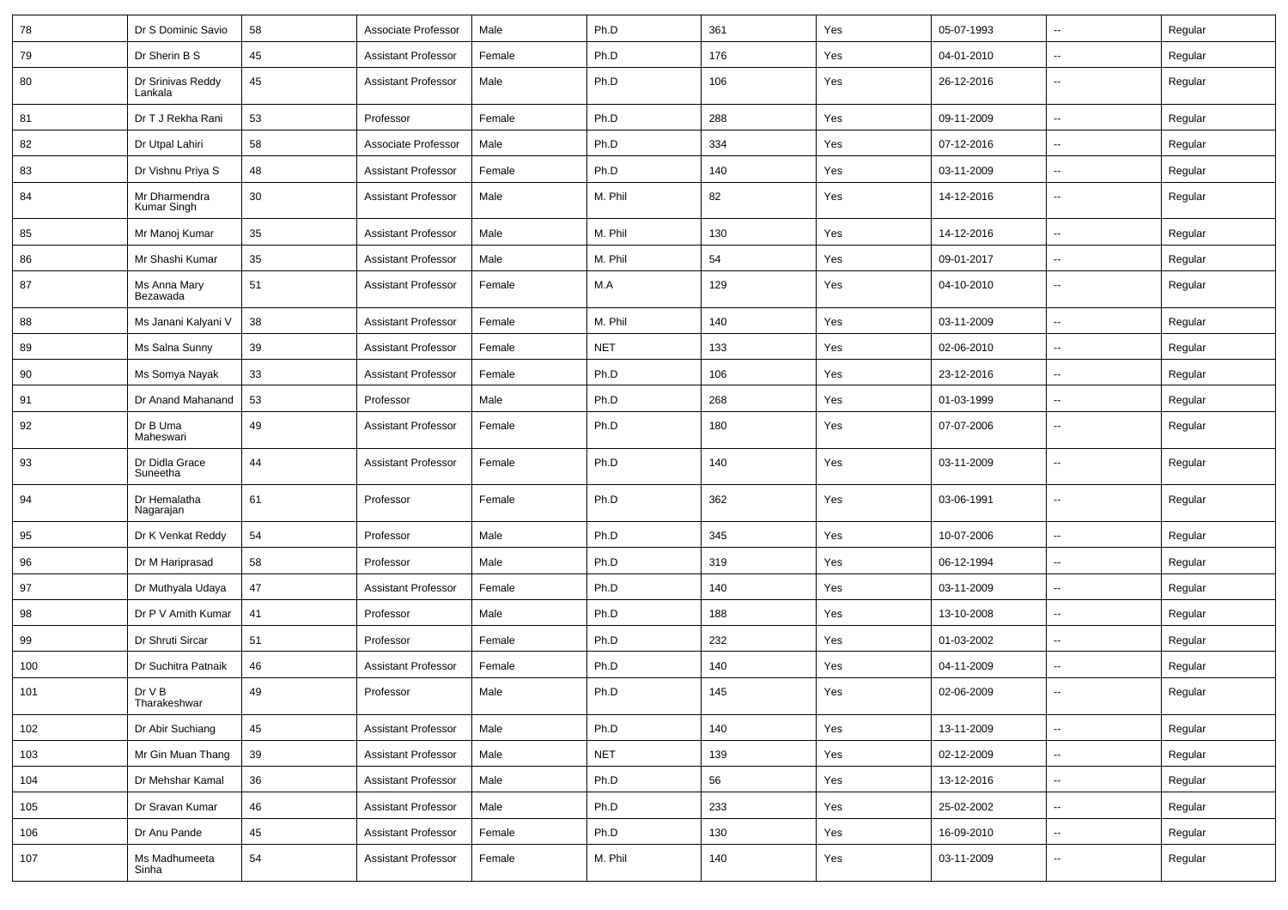| 78  | Dr S Dominic Savio           | 58 | Associate Professor        | Male   | Ph.D       | 361 | Yes | 05-07-1993 | $\overline{\phantom{a}}$ | Regular |
|-----|------------------------------|----|----------------------------|--------|------------|-----|-----|------------|--------------------------|---------|
| 79  | Dr Sherin B S                | 45 | <b>Assistant Professor</b> | Female | Ph.D       | 176 | Yes | 04-01-2010 | $\sim$                   | Regular |
| 80  | Dr Srinivas Reddy<br>Lankala | 45 | <b>Assistant Professor</b> | Male   | Ph.D       | 106 | Yes | 26-12-2016 | --                       | Regular |
| 81  | Dr T J Rekha Rani            | 53 | Professor                  | Female | Ph.D       | 288 | Yes | 09-11-2009 | $\overline{\phantom{a}}$ | Regular |
| 82  | Dr Utpal Lahiri              | 58 | Associate Professor        | Male   | Ph.D       | 334 | Yes | 07-12-2016 | $\overline{\phantom{a}}$ | Regular |
| 83  | Dr Vishnu Priya S            | 48 | <b>Assistant Professor</b> | Female | Ph.D       | 140 | Yes | 03-11-2009 | Ξ.                       | Regular |
| 84  | Mr Dharmendra<br>Kumar Singh | 30 | <b>Assistant Professor</b> | Male   | M. Phil    | 82  | Yes | 14-12-2016 | $\overline{\phantom{a}}$ | Regular |
| 85  | Mr Manoj Kumar               | 35 | <b>Assistant Professor</b> | Male   | M. Phil    | 130 | Yes | 14-12-2016 | $\overline{\phantom{a}}$ | Regular |
| 86  | Mr Shashi Kumar              | 35 | <b>Assistant Professor</b> | Male   | M. Phil    | 54  | Yes | 09-01-2017 | ⊷.                       | Regular |
| 87  | Ms Anna Mary<br>Bezawada     | 51 | <b>Assistant Professor</b> | Female | M.A        | 129 | Yes | 04-10-2010 | $\overline{\phantom{a}}$ | Regular |
| 88  | Ms Janani Kalyani V          | 38 | <b>Assistant Professor</b> | Female | M. Phil    | 140 | Yes | 03-11-2009 | $\overline{\phantom{a}}$ | Regular |
| 89  | Ms Salna Sunny               | 39 | <b>Assistant Professor</b> | Female | <b>NET</b> | 133 | Yes | 02-06-2010 | $\overline{\phantom{a}}$ | Regular |
| 90  | Ms Somya Nayak               | 33 | <b>Assistant Professor</b> | Female | Ph.D       | 106 | Yes | 23-12-2016 | -−                       | Regular |
| 91  | Dr Anand Mahanand            | 53 | Professor                  | Male   | Ph.D       | 268 | Yes | 01-03-1999 | $\overline{\phantom{a}}$ | Regular |
| 92  | Dr B Uma<br>Maheswari        | 49 | <b>Assistant Professor</b> | Female | Ph.D       | 180 | Yes | 07-07-2006 | ⊷.                       | Regular |
| 93  | Dr Didla Grace<br>Suneetha   | 44 | <b>Assistant Professor</b> | Female | Ph.D       | 140 | Yes | 03-11-2009 | $\overline{\phantom{a}}$ | Regular |
| 94  | Dr Hemalatha<br>Nagarajan    | 61 | Professor                  | Female | Ph.D       | 362 | Yes | 03-06-1991 | $\overline{\phantom{a}}$ | Regular |
| 95  | Dr K Venkat Reddy            | 54 | Professor                  | Male   | Ph.D       | 345 | Yes | 10-07-2006 | Ξ.                       | Regular |
| 96  | Dr M Hariprasad              | 58 | Professor                  | Male   | Ph.D       | 319 | Yes | 06-12-1994 | ⊷.                       | Regular |
| 97  | Dr Muthyala Udaya            | 47 | <b>Assistant Professor</b> | Female | Ph.D       | 140 | Yes | 03-11-2009 | Ξ.                       | Regular |
| 98  | Dr P V Amith Kumar           | 41 | Professor                  | Male   | Ph.D       | 188 | Yes | 13-10-2008 | $\overline{\phantom{a}}$ | Regular |
| 99  | Dr Shruti Sircar             | 51 | Professor                  | Female | Ph.D       | 232 | Yes | 01-03-2002 | --                       | Regular |
| 100 | Dr Suchitra Patnaik          | 46 | Assistant Professor        | Female | Ph.D       | 140 | Yes | 04-11-2009 | $\overline{\phantom{a}}$ | Regular |
| 101 | Dr V B<br>Tharakeshwar       | 49 | Professor                  | Male   | Ph.D       | 145 | Yes | 02-06-2009 | --                       | Regular |
| 102 | Dr Abir Suchiang             | 45 | <b>Assistant Professor</b> | Male   | Ph.D       | 140 | Yes | 13-11-2009 | $\sim$                   | Regular |
| 103 | Mr Gin Muan Thang            | 39 | <b>Assistant Professor</b> | Male   | <b>NET</b> | 139 | Yes | 02-12-2009 | $\sim$                   | Regular |
| 104 | Dr Mehshar Kamal             | 36 | <b>Assistant Professor</b> | Male   | Ph.D       | 56  | Yes | 13-12-2016 | $\sim$                   | Regular |
| 105 | Dr Sravan Kumar              | 46 | <b>Assistant Professor</b> | Male   | Ph.D       | 233 | Yes | 25-02-2002 | $\sim$                   | Regular |
| 106 | Dr Anu Pande                 | 45 | <b>Assistant Professor</b> | Female | Ph.D       | 130 | Yes | 16-09-2010 | $\sim$                   | Regular |
| 107 | Ms Madhumeeta<br>Sinha       | 54 | <b>Assistant Professor</b> | Female | M. Phil    | 140 | Yes | 03-11-2009 | $\sim$                   | Regular |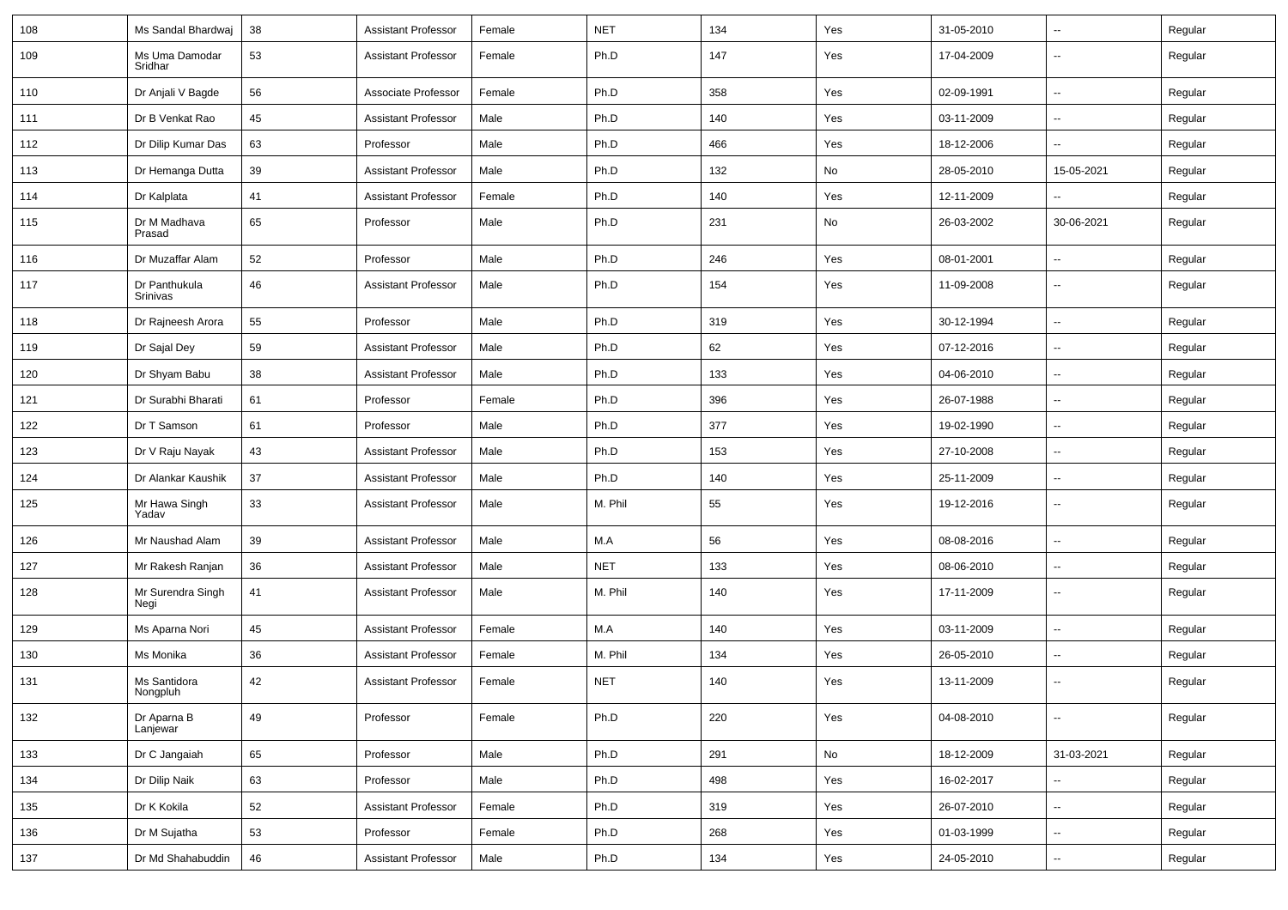| 108 | Ms Sandal Bhardwaj        | 38 | <b>Assistant Professor</b> | Female | <b>NET</b> | 134 | Yes | 31-05-2010 | ⊷.                       | Regular |
|-----|---------------------------|----|----------------------------|--------|------------|-----|-----|------------|--------------------------|---------|
| 109 | Ms Uma Damodar<br>Sridhar | 53 | <b>Assistant Professor</b> | Female | Ph.D       | 147 | Yes | 17-04-2009 | $\overline{\phantom{a}}$ | Regular |
| 110 | Dr Anjali V Bagde         | 56 | Associate Professor        | Female | Ph.D       | 358 | Yes | 02-09-1991 | $\sim$                   | Regular |
| 111 | Dr B Venkat Rao           | 45 | <b>Assistant Professor</b> | Male   | Ph.D       | 140 | Yes | 03-11-2009 | $\overline{\phantom{a}}$ | Regular |
| 112 | Dr Dilip Kumar Das        | 63 | Professor                  | Male   | Ph.D       | 466 | Yes | 18-12-2006 | -−                       | Regular |
| 113 | Dr Hemanga Dutta          | 39 | <b>Assistant Professor</b> | Male   | Ph.D       | 132 | No  | 28-05-2010 | 15-05-2021               | Regular |
| 114 | Dr Kalplata               | 41 | <b>Assistant Professor</b> | Female | Ph.D       | 140 | Yes | 12-11-2009 | --                       | Regular |
| 115 | Dr M Madhava<br>Prasad    | 65 | Professor                  | Male   | Ph.D       | 231 | No  | 26-03-2002 | 30-06-2021               | Regular |
| 116 | Dr Muzaffar Alam          | 52 | Professor                  | Male   | Ph.D       | 246 | Yes | 08-01-2001 | $\sim$                   | Regular |
| 117 | Dr Panthukula<br>Srinivas | 46 | <b>Assistant Professor</b> | Male   | Ph.D       | 154 | Yes | 11-09-2008 | $\overline{\phantom{a}}$ | Regular |
| 118 | Dr Rajneesh Arora         | 55 | Professor                  | Male   | Ph.D       | 319 | Yes | 30-12-1994 | Ξ.                       | Regular |
| 119 | Dr Sajal Dey              | 59 | <b>Assistant Professor</b> | Male   | Ph.D       | 62  | Yes | 07-12-2016 | $\sim$                   | Regular |
| 120 | Dr Shyam Babu             | 38 | <b>Assistant Professor</b> | Male   | Ph.D       | 133 | Yes | 04-06-2010 | -−                       | Regular |
| 121 | Dr Surabhi Bharati        | 61 | Professor                  | Female | Ph.D       | 396 | Yes | 26-07-1988 | Ξ.                       | Regular |
| 122 | Dr T Samson               | 61 | Professor                  | Male   | Ph.D       | 377 | Yes | 19-02-1990 | $\overline{\phantom{a}}$ | Regular |
| 123 | Dr V Raju Nayak           | 43 | <b>Assistant Professor</b> | Male   | Ph.D       | 153 | Yes | 27-10-2008 | ⊷.                       | Regular |
| 124 | Dr Alankar Kaushik        | 37 | <b>Assistant Professor</b> | Male   | Ph.D       | 140 | Yes | 25-11-2009 | Ξ.                       | Regular |
| 125 | Mr Hawa Singh<br>Yadav    | 33 | <b>Assistant Professor</b> | Male   | M. Phil    | 55  | Yes | 19-12-2016 | $\overline{\phantom{a}}$ | Regular |
| 126 | Mr Naushad Alam           | 39 | <b>Assistant Professor</b> | Male   | M.A        | 56  | Yes | 08-08-2016 | -−                       | Regular |
| 127 | Mr Rakesh Ranjan          | 36 | <b>Assistant Professor</b> | Male   | <b>NET</b> | 133 | Yes | 08-06-2010 | -−                       | Regular |
| 128 | Mr Surendra Singh<br>Negi | 41 | <b>Assistant Professor</b> | Male   | M. Phil    | 140 | Yes | 17-11-2009 | $\mathbf{u}$             | Regular |
| 129 | Ms Aparna Nori            | 45 | <b>Assistant Professor</b> | Female | M.A        | 140 | Yes | 03-11-2009 | н.                       | Regular |
| 130 | Ms Monika                 | 36 | <b>Assistant Professor</b> | Female | M. Phil    | 134 | Yes | 26-05-2010 | н.                       | Regular |
| 131 | Ms Santidora<br>Nongpluh  | 42 | <b>Assistant Professor</b> | Female | <b>NET</b> | 140 | Yes | 13-11-2009 | -−                       | Regular |
| 132 | Dr Aparna B<br>Lanjewar   | 49 | Professor                  | Female | Ph.D       | 220 | Yes | 04-08-2010 | ₩,                       | Regular |
| 133 | Dr C Jangaiah             | 65 | Professor                  | Male   | Ph.D       | 291 | No  | 18-12-2009 | 31-03-2021               | Regular |
| 134 | Dr Dilip Naik             | 63 | Professor                  | Male   | Ph.D       | 498 | Yes | 16-02-2017 | $\overline{\phantom{a}}$ | Regular |
| 135 | Dr K Kokila               | 52 | <b>Assistant Professor</b> | Female | Ph.D       | 319 | Yes | 26-07-2010 | $\sim$                   | Regular |
| 136 | Dr M Sujatha              | 53 | Professor                  | Female | Ph.D       | 268 | Yes | 01-03-1999 | ш.                       | Regular |
| 137 | Dr Md Shahabuddin         | 46 | <b>Assistant Professor</b> | Male   | Ph.D       | 134 | Yes | 24-05-2010 | н.                       | Regular |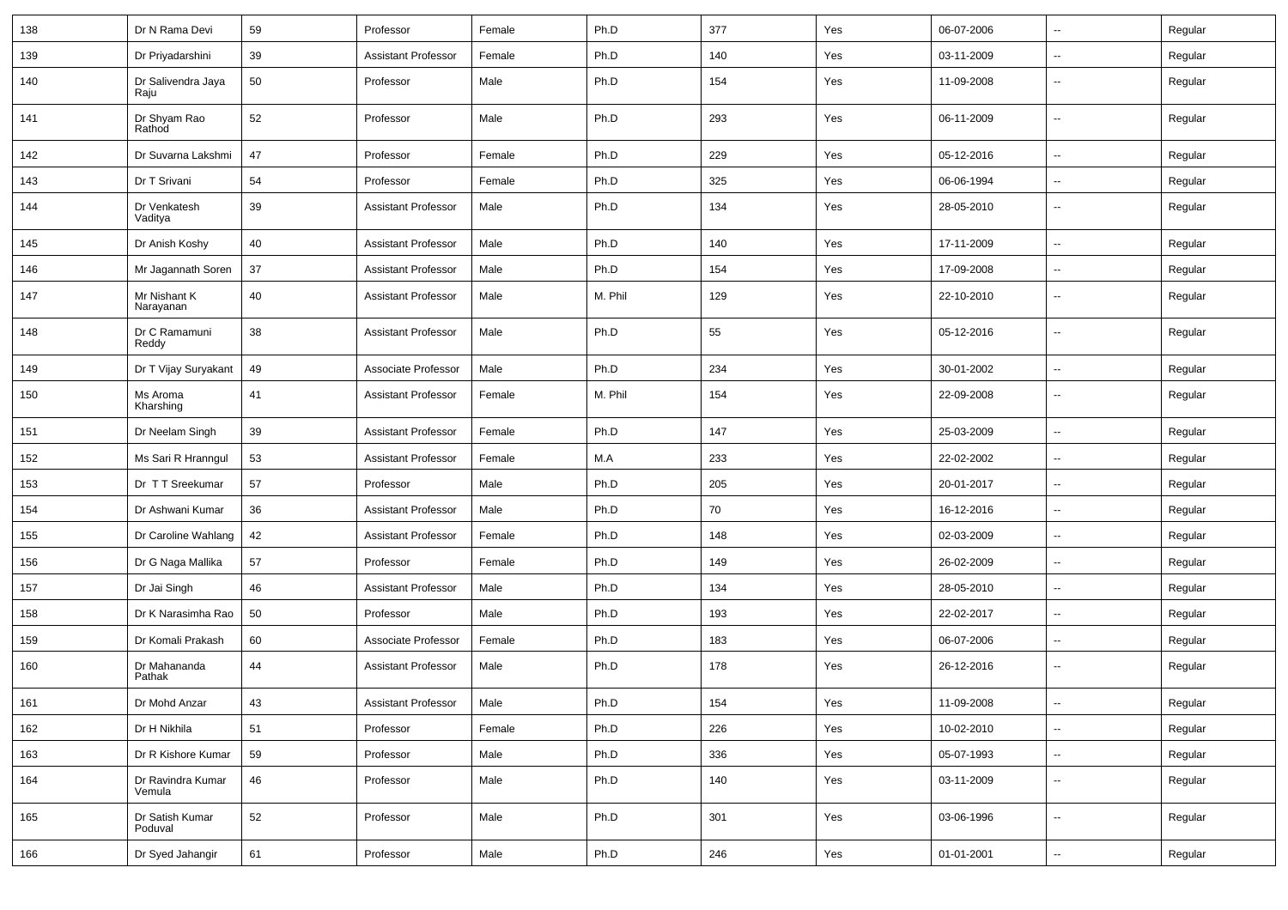| 138 | Dr N Rama Devi              | 59 | Professor                  | Female | Ph.D    | 377 | Yes | 06-07-2006 | $\overline{\phantom{a}}$ | Regular |
|-----|-----------------------------|----|----------------------------|--------|---------|-----|-----|------------|--------------------------|---------|
| 139 | Dr Priyadarshini            | 39 | <b>Assistant Professor</b> | Female | Ph.D    | 140 | Yes | 03-11-2009 | $\sim$                   | Regular |
| 140 | Dr Salivendra Jaya<br>Raju  | 50 | Professor                  | Male   | Ph.D    | 154 | Yes | 11-09-2008 | $\overline{\phantom{a}}$ | Regular |
| 141 | Dr Shyam Rao<br>Rathod      | 52 | Professor                  | Male   | Ph.D    | 293 | Yes | 06-11-2009 | $\overline{\phantom{a}}$ | Regular |
| 142 | Dr Suvarna Lakshmi          | 47 | Professor                  | Female | Ph.D    | 229 | Yes | 05-12-2016 | $\overline{\phantom{a}}$ | Regular |
| 143 | Dr T Srivani                | 54 | Professor                  | Female | Ph.D    | 325 | Yes | 06-06-1994 | $\overline{\phantom{a}}$ | Regular |
| 144 | Dr Venkatesh<br>Vaditya     | 39 | <b>Assistant Professor</b> | Male   | Ph.D    | 134 | Yes | 28-05-2010 | ⊷.                       | Regular |
| 145 | Dr Anish Koshy              | 40 | <b>Assistant Professor</b> | Male   | Ph.D    | 140 | Yes | 17-11-2009 | Ξ.                       | Regular |
| 146 | Mr Jagannath Soren          | 37 | <b>Assistant Professor</b> | Male   | Ph.D    | 154 | Yes | 17-09-2008 | $\sim$                   | Regular |
| 147 | Mr Nishant K<br>Narayanan   | 40 | <b>Assistant Professor</b> | Male   | M. Phil | 129 | Yes | 22-10-2010 | $\overline{\phantom{a}}$ | Regular |
| 148 | Dr C Ramamuni<br>Reddy      | 38 | <b>Assistant Professor</b> | Male   | Ph.D    | 55  | Yes | 05-12-2016 | $\overline{\phantom{a}}$ | Regular |
| 149 | Dr T Vijay Suryakant        | 49 | Associate Professor        | Male   | Ph.D    | 234 | Yes | 30-01-2002 | $\sim$                   | Regular |
| 150 | Ms Aroma<br>Kharshing       | 41 | <b>Assistant Professor</b> | Female | M. Phil | 154 | Yes | 22-09-2008 | $\overline{\phantom{a}}$ | Regular |
| 151 | Dr Neelam Singh             | 39 | <b>Assistant Professor</b> | Female | Ph.D    | 147 | Yes | 25-03-2009 | Ξ.                       | Regular |
| 152 | Ms Sari R Hranngul          | 53 | <b>Assistant Professor</b> | Female | M.A     | 233 | Yes | 22-02-2002 | $\overline{\phantom{a}}$ | Regular |
| 153 | Dr TT Sreekumar             | 57 | Professor                  | Male   | Ph.D    | 205 | Yes | 20-01-2017 | -−                       | Regular |
| 154 | Dr Ashwani Kumar            | 36 | <b>Assistant Professor</b> | Male   | Ph.D    | 70  | Yes | 16-12-2016 | Ξ.                       | Regular |
| 155 | Dr Caroline Wahlang         | 42 | <b>Assistant Professor</b> | Female | Ph.D    | 148 | Yes | 02-03-2009 | $\sim$                   | Regular |
| 156 | Dr G Naga Mallika           | 57 | Professor                  | Female | Ph.D    | 149 | Yes | 26-02-2009 | ⊷.                       | Regular |
| 157 | Dr Jai Singh                | 46 | <b>Assistant Professor</b> | Male   | Ph.D    | 134 | Yes | 28-05-2010 | Ξ.                       | Regular |
| 158 | Dr K Narasimha Rao          | 50 | Professor                  | Male   | Ph.D    | 193 | Yes | 22-02-2017 | $\overline{\phantom{a}}$ | Regular |
| 159 | Dr Komali Prakash           | 60 | Associate Professor        | Female | Ph.D    | 183 | Yes | 06-07-2006 | -−                       | Regular |
| 160 | Dr Mahananda<br>Pathak      | 44 | <b>Assistant Professor</b> | Male   | Ph.D    | 178 | Yes | 26-12-2016 | $\overline{\phantom{a}}$ | Regular |
| 161 | Dr Mohd Anzar               | 43 | Assistant Professor        | Male   | Ph.D    | 154 | Yes | 11-09-2008 |                          | Regular |
| 162 | Dr H Nikhila                | 51 | Professor                  | Female | Ph.D    | 226 | Yes | 10-02-2010 | $\sim$                   | Regular |
| 163 | Dr R Kishore Kumar          | 59 | Professor                  | Male   | Ph.D    | 336 | Yes | 05-07-1993 | $\sim$                   | Regular |
| 164 | Dr Ravindra Kumar<br>Vemula | 46 | Professor                  | Male   | Ph.D    | 140 | Yes | 03-11-2009 | ₩,                       | Regular |
| 165 | Dr Satish Kumar<br>Poduval  | 52 | Professor                  | Male   | Ph.D    | 301 | Yes | 03-06-1996 | $\overline{\phantom{a}}$ | Regular |
| 166 | Dr Syed Jahangir            | 61 | Professor                  | Male   | Ph.D    | 246 | Yes | 01-01-2001 | $\sim$                   | Regular |